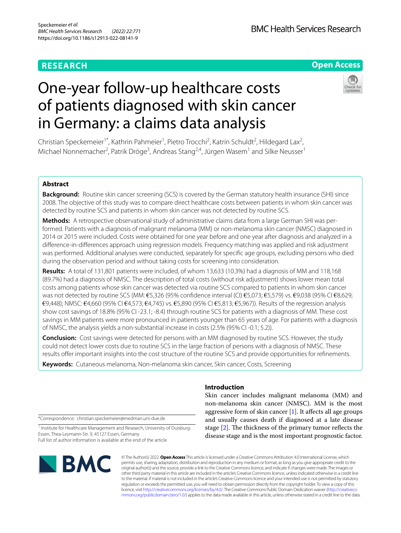# **RESEARCH**

## **Open Access**

# One-year follow-up healthcare costs of patients diagnosed with skin cancer in Germany: a claims data analysis



Christian Speckemeier<sup>1\*</sup>, Kathrin Pahmeier<sup>1</sup>, Pietro Trocchi<sup>2</sup>, Katrin Schuldt<sup>2</sup>, Hildegard Lax<sup>2</sup>, Michael Nonnemacher<sup>2</sup>, Patrik Dröge<sup>3</sup>, Andreas Stang<sup>2,4</sup>, Jürgen Wasem<sup>1</sup> and Silke Neusser<sup>1</sup>

## **Abstract**

**Background:** Routine skin cancer screening (SCS) is covered by the German statutory health insurance (SHI) since 2008. The objective of this study was to compare direct healthcare costs between patients in whom skin cancer was detected by routine SCS and patients in whom skin cancer was not detected by routine SCS.

**Methods:** A retrospective observational study of administrative claims data from a large German SHI was performed. Patients with a diagnosis of malignant melanoma (MM) or non-melanoma skin cancer (NMSC) diagnosed in 2014 or 2015 were included. Costs were obtained for one year before and one year after diagnosis and analyzed in a diference-in-diferences approach using regression models. Frequency matching was applied and risk adjustment was performed. Additional analyses were conducted, separately for specifc age groups, excluding persons who died during the observation period and without taking costs for screening into consideration.

**Results:** A total of 131,801 patients were included, of whom 13,633 (10.3%) had a diagnosis of MM and 118,168 (89.7%) had a diagnosis of NMSC. The description of total costs (without risk adjustment) shows lower mean total costs among patients whose skin cancer was detected via routine SCS compared to patients in whom skin cancer was not detected by routine SCS (MM: €5,326 (95% confidence interval (CI) €5,073; €5,579) vs. €9,038 (95% CI €8,629;  $€9,448$ ); NMSC:  $€4,660$  (95% CI  $€4,573$ ;  $€4,745$ ) vs.  $€5,890$  (95% CI  $€5,813$ ;  $€5,967$ )). Results of the regression analysis show cost savings of 18.8% (95% CI -23.1; -8.4) through routine SCS for patients with a diagnosis of MM. These cost savings in MM patients were more pronounced in patients younger than 65 years of age. For patients with a diagnosis of NMSC, the analysis yields a non-substantial increase in costs (2.5% (95% CI -0.1; 5.2)).

**Conclusion:** Cost savings were detected for persons with an MM diagnosed by routine SCS. However, the study could not detect lower costs due to routine SCS in the large fraction of persons with a diagnosis of NMSC. These results ofer important insights into the cost structure of the routine SCS and provide opportunities for refnements.

**Keywords:** Cutaneous melanoma, Non-melanoma skin cancer, Skin cancer, Costs, Screening

\*Correspondence: christian.speckemeier@medman.uni-due.de

<sup>1</sup> Institute for Healthcare Management and Research, University of Duisburg-Essen, Thea-Leymann-Str. 9, 45127 Essen, Germany Full list of author information is available at the end of the article



## **Introduction**

Skin cancer includes malignant melanoma (MM) and non-melanoma skin cancer (NMSC). MM is the most aggressive form of skin cancer  $[1]$  $[1]$ . It affects all age groups and usually causes death if diagnosed at a late disease stage  $[2]$  $[2]$ . The thickness of the primary tumor reflects the disease stage and is the most important prognostic factor.

© The Author(s) 2022. **Open Access** This article is licensed under a Creative Commons Attribution 4.0 International License, which permits use, sharing, adaptation, distribution and reproduction in any medium or format, as long as you give appropriate credit to the original author(s) and the source, provide a link to the Creative Commons licence, and indicate if changes were made. The images or other third party material in this article are included in the article's Creative Commons licence, unless indicated otherwise in a credit line to the material. If material is not included in the article's Creative Commons licence and your intended use is not permitted by statutory regulation or exceeds the permitted use, you will need to obtain permission directly from the copyright holder. To view a copy of this licence, visit [http://creativecommons.org/licenses/by/4.0/.](http://creativecommons.org/licenses/by/4.0/) The Creative Commons Public Domain Dedication waiver ([http://creativeco](http://creativecommons.org/publicdomain/zero/1.0/) [mmons.org/publicdomain/zero/1.0/](http://creativecommons.org/publicdomain/zero/1.0/)) applies to the data made available in this article, unless otherwise stated in a credit line to the data.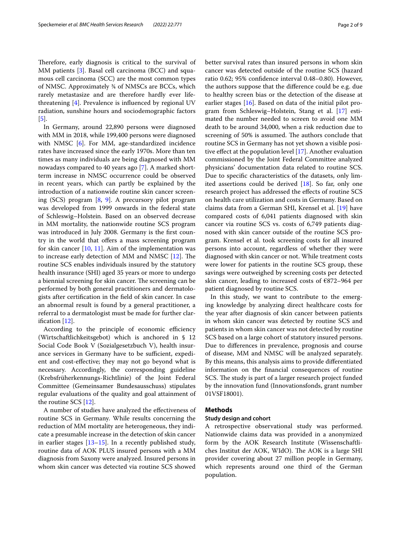Therefore, early diagnosis is critical to the survival of MM patients [[3](#page-8-2)]. Basal cell carcinoma (BCC) and squamous cell carcinoma (SCC) are the most common types of NMSC. Approximately ¾ of NMSCs are BCCs, which rarely metastasize and are therefore hardly ever lifethreatening [\[4](#page-8-3)]. Prevalence is infuenced by regional UV radiation, sunshine hours and sociodemographic factors [[5\]](#page-8-4).

In Germany, around 22,890 persons were diagnosed with MM in 2018, while 199,400 persons were diagnosed with NMSC [[6\]](#page-8-5). For MM, age-standardized incidence rates have increased since the early 1970s. More than ten times as many individuals are being diagnosed with MM nowadays compared to 40 years ago [[7\]](#page-8-6). A marked shortterm increase in NMSC occurrence could be observed in recent years, which can partly be explained by the introduction of a nationwide routine skin cancer screening (SCS) program [[8,](#page-8-7) [9](#page-8-8)]. A precursory pilot program was developed from 1999 onwards in the federal state of Schleswig–Holstein. Based on an observed decrease in MM mortality, the nationwide routine SCS program was introduced in July 2008. Germany is the frst country in the world that offers a mass screening program for skin cancer  $[10, 11]$  $[10, 11]$  $[10, 11]$  $[10, 11]$ . Aim of the implementation was to increase early detection of MM and NMSC  $[12]$  $[12]$  $[12]$ . The routine SCS enables individuals insured by the statutory health insurance (SHI) aged 35 years or more to undergo a biennial screening for skin cancer. The screening can be performed by both general practitioners and dermatologists after certifcation in the feld of skin cancer. In case an abnormal result is found by a general practitioner, a referral to a dermatologist must be made for further clarifcation [[12](#page-8-11)].

According to the principle of economic efficiency (Wirtschaftlichkeitsgebot) which is anchored in § 12 Social Code Book V (Sozialgesetzbuch V), health insurance services in Germany have to be sufficient, expedient and cost-efective; they may not go beyond what is necessary. Accordingly, the corresponding guideline (Krebsfrüherkennungs-Richtlinie) of the Joint Federal Committee (Gemeinsamer Bundesausschuss) stipulates regular evaluations of the quality and goal attainment of the routine SCS [[12\]](#page-8-11).

A number of studies have analyzed the efectiveness of routine SCS in Germany. While results concerning the reduction of MM mortality are heterogeneous, they indicate a presumable increase in the detection of skin cancer in earlier stages [\[13](#page-8-12)[–15\]](#page-8-13). In a recently published study, routine data of AOK PLUS insured persons with a MM diagnosis from Saxony were analyzed. Insured persons in whom skin cancer was detected via routine SCS showed better survival rates than insured persons in whom skin cancer was detected outside of the routine SCS (hazard ratio 0.62; 95% confdence interval 0.48–0.80). However, the authors suppose that the diference could be e.g. due to healthy screen bias or the detection of the disease at earlier stages [[16\]](#page-8-14). Based on data of the initial pilot program from Schleswig–Holstein, Stang et al. [[17\]](#page-8-15) estimated the number needed to screen to avoid one MM death to be around 34,000, when a risk reduction due to screening of 50% is assumed. The authors conclude that routine SCS in Germany has not yet shown a visible positive efect at the population level [\[17\]](#page-8-15). Another evaluation commissioned by the Joint Federal Committee analyzed physicians' documentation data related to routine SCS. Due to specifc characteristics of the datasets, only limited assertions could be derived [[18\]](#page-8-16). So far, only one research project has addressed the efects of routine SCS on health care utilization and costs in Germany. Based on claims data from a German SHI, Krensel et al. [[19\]](#page-8-17) have compared costs of 6,041 patients diagnosed with skin cancer via routine SCS vs. costs of 6,749 patients diagnosed with skin cancer outside of the routine SCS program. Krensel et al. took screening costs for all insured persons into account, regardless of whether they were diagnosed with skin cancer or not. While treatment costs were lower for patients in the routine SCS group, these savings were outweighed by screening costs per detected skin cancer, leading to increased costs of €872–964 per patient diagnosed by routine SCS.

In this study, we want to contribute to the emerging knowledge by analyzing direct healthcare costs for the year after diagnosis of skin cancer between patients in whom skin cancer was detected by routine SCS and patients in whom skin cancer was not detected by routine SCS based on a large cohort of statutory insured persons. Due to diferences in prevalence, prognosis and course of disease, MM and NMSC will be analyzed separately. By this means, this analysis aims to provide diferentiated information on the fnancial consequences of routine SCS. The study is part of a larger research project funded by the innovation fund (Innovationsfonds, grant number 01VSF18001).

### **Methods**

#### **Study design and cohort**

A retrospective observational study was performed. Nationwide claims data was provided in a anonymized form by the AOK Research Institute (Wissenschaftliches Institut der AOK, WIdO). The AOK is a large SHI provider covering about 27 million people in Germany, which represents around one third of the German population.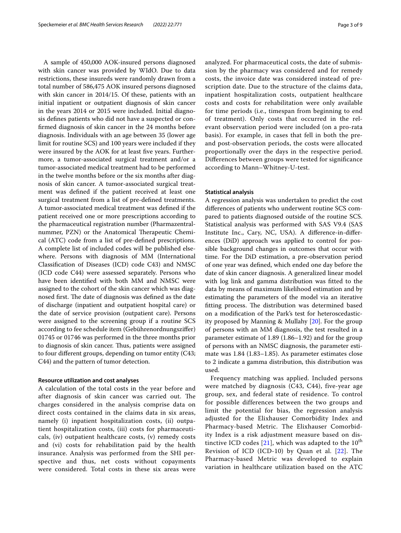A sample of 450,000 AOK-insured persons diagnosed with skin cancer was provided by WIdO. Due to data restrictions, these insureds were randomly drawn from a total number of 586,475 AOK insured persons diagnosed with skin cancer in 2014/15. Of these, patients with an initial inpatient or outpatient diagnosis of skin cancer in the years 2014 or 2015 were included. Initial diagnosis defnes patients who did not have a suspected or confrmed diagnosis of skin cancer in the 24 months before diagnosis. Individuals with an age between 35 (lower age limit for routine SCS) and 100 years were included if they were insured by the AOK for at least five years. Furthermore, a tumor-associated surgical treatment and/or a tumor-associated medical treatment had to be performed in the twelve months before or the six months after diagnosis of skin cancer. A tumor-associated surgical treatment was defned if the patient received at least one surgical treatment from a list of pre-defned treatments. A tumor-associated medical treatment was defned if the patient received one or more prescriptions according to the pharmaceutical registration number (Pharmazentralnummer, PZN) or the Anatomical Therapeutic Chemical (ATC) code from a list of pre-defned prescriptions. A complete list of included codes will be published elsewhere. Persons with diagnosis of MM (International Classifcation of Diseases (ICD) code C43) and NMSC (ICD code C44) were assessed separately. Persons who have been identifed with both MM and NMSC were assigned to the cohort of the skin cancer which was diagnosed first. The date of diagnosis was defined as the date of discharge (inpatient and outpatient hospital care) or the date of service provision (outpatient care). Persons were assigned to the screening group if a routine SCS according to fee schedule item (Gebührenordnungszifer) 01745 or 01746 was performed in the three months prior to diagnosis of skin cancer. Thus, patients were assigned to four diferent groups, depending on tumor entity (C43; C44) and the pattern of tumor detection.

#### **Resource utilization and cost analyses**

A calculation of the total costs in the year before and after diagnosis of skin cancer was carried out. The charges considered in the analysis comprise data on direct costs contained in the claims data in six areas, namely (i) inpatient hospitalization costs, (ii) outpatient hospitalization costs, (iii) costs for pharmaceuticals, (iv) outpatient healthcare costs, (v) remedy costs and (vi) costs for rehabilitation paid by the health insurance. Analysis was performed from the SHI perspective and thus, net costs without copayments were considered. Total costs in these six areas were analyzed. For pharmaceutical costs, the date of submission by the pharmacy was considered and for remedy costs, the invoice date was considered instead of prescription date. Due to the structure of the claims data, inpatient hospitalization costs, outpatient healthcare costs and costs for rehabilitation were only available for time periods (i.e., timespan from beginning to end of treatment). Only costs that occurred in the relevant observation period were included (on a pro-rata basis). For example, in cases that fell in both the preand post-observation periods, the costs were allocated proportionally over the days in the respective period. Diferences between groups were tested for signifcance according to Mann–Whitney-U-test.

#### **Statistical analysis**

A regression analysis was undertaken to predict the cost diferences of patients who underwent routine SCS compared to patients diagnosed outside of the routine SCS. Statistical analysis was performed with SAS V9.4 (SAS Institute Inc., Cary, NC, USA). A diference-in-diferences (DiD) approach was applied to control for possible background changes in outcomes that occur with time. For the DiD estimation, a pre-observation period of one year was defned, which ended one day before the date of skin cancer diagnosis. A generalized linear model with log link and gamma distribution was ftted to the data by means of maximum likelihood estimation and by estimating the parameters of the model via an iterative fitting process. The distribution was determined based on a modifcation of the Park's test for heteroscedasticity proposed by Manning & Mullahy [\[20\]](#page-8-18). For the group of persons with an MM diagnosis, the test resulted in a parameter estimate of 1.89 (1.86–1.92) and for the group of persons with an NMSC diagnosis, the parameter estimate was 1.84 (1.83–1.85). As parameter estimates close to 2 indicate a gamma distribution, this distribution was used.

Frequency matching was applied. Included persons were matched by diagnosis (C43, C44), five-year age group, sex, and federal state of residence. To control for possible differences between the two groups and limit the potential for bias, the regression analysis adjusted for the Elixhauser Comorbidity Index and Pharmacy-based Metric. The Elixhauser Comorbidity Index is a risk adjustment measure based on distinctive ICD codes  $[21]$  $[21]$  $[21]$ , which was adapted to the  $10^{th}$ Revision of ICD (ICD-10) by Quan et al. [[22](#page-8-20)]. The Pharmacy-based Metric was developed to explain variation in healthcare utilization based on the ATC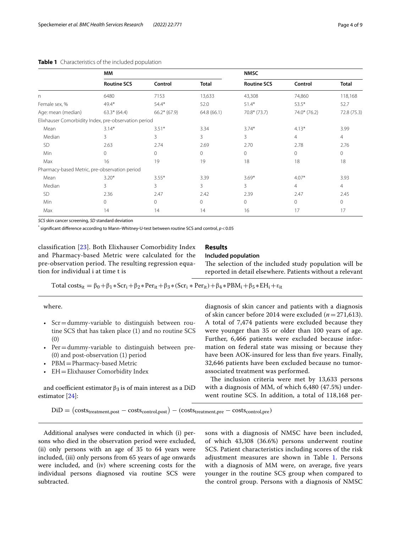|                                                      | <b>MM</b>          |               |              | <b>NMSC</b>        |                |                |
|------------------------------------------------------|--------------------|---------------|--------------|--------------------|----------------|----------------|
|                                                      | <b>Routine SCS</b> | Control       | <b>Total</b> | <b>Routine SCS</b> | Control        | <b>Total</b>   |
| $\mathsf{n}$                                         | 6480               | 7153          | 13,633       | 43,308             | 74,860         | 118,168        |
| Female sex, %                                        | $49.4*$            | $54.4*$       | 52.0         | $51.4*$            | $53.5*$        | 52.7           |
| Age: mean (median)                                   | $63.3* (64.4)$     | $66.2*(67.9)$ | 64.8(66.1)   | $70.8*(73.7)$      | 74.0* (76.2)   | 72.8 (75.3)    |
| Elixhauser Comorbidity Index, pre-observation period |                    |               |              |                    |                |                |
| Mean                                                 | $3.14*$            | $3.51*$       | 3.34         | $3.74*$            | $4.13*$        | 3.99           |
| Median                                               | 3                  | 3             | 3            | 3                  | $\overline{4}$ | $\overline{4}$ |
| <b>SD</b>                                            | 2.63               | 2.74          | 2.69         | 2.70               | 2.78           | 2.76           |
| Min                                                  | $\Omega$           | $\Omega$      | $\circ$      | $\circ$            | $\mathbf{0}$   | $\circ$        |
| Max                                                  | 16                 | 19            | 19           | 18                 | 18             | 18             |
| Pharmacy-based Metric, pre-observation period        |                    |               |              |                    |                |                |
| Mean                                                 | $3.20*$            | $3.55*$       | 3.39         | $3.69*$            | $4.07*$        | 3.93           |
| Median                                               | 3                  | 3             | 3            | 3                  | $\overline{4}$ | $\overline{4}$ |
| <b>SD</b>                                            | 2.36               | 2.47          | 2.42         | 2.39               | 2.47           | 2.45           |
| Min                                                  | $\Omega$           | $\Omega$      | $\mathbf 0$  | $\mathbf{0}$       | $\mathbf{0}$   | $\mathbf{0}$   |
| Max                                                  | 14                 | 14            | 14           | 16                 | 17             | 17             |

#### <span id="page-3-0"></span>**Table 1** Characteristics of the included population

*SCS* skin cancer screening, *SD* standard deviation

\* signifcant diference according to Mann–Whitney-U-test between routine SCS and control, *p*<0.05

classification [[23\]](#page-8-21). Both Elixhauser Comorbidity Index and Pharmacy-based Metric were calculated for the pre-observation period. The resulting regression equation for individual i at time t is

# **Results**

## **Included population**

The selection of the included study population will be reported in detail elsewhere. Patients without a relevant

Total costs<sub>it</sub> =  $\beta_0 + \beta_1 * Scr_i + \beta_2 * Per_{it} + \beta_3 * (Scr_i * Per_{it}) + \beta_4 * PBM_i + \beta_5 * EH_i + \epsilon_{it}$ 

where.

- Scr = dummy-variable to distinguish between routine SCS that has taken place (1) and no routine SCS (0)
- $Per =$ dummy-variable to distinguish between pre-(0) and post-observation (1) period
- PBM=Pharmacy-based Metric
- EH=Elixhauser Comorbidity Index

and coefficient estimator  $\beta_3$  is of main interest as a DiD estimator [\[24\]](#page-8-22):

diagnosis of skin cancer and patients with a diagnosis of skin cancer before 2014 were excluded (*n*=271,613). A total of 7,474 patients were excluded because they were younger than 35 or older than 100 years of age. Further, 6,466 patients were excluded because information on federal state was missing or because they have been AOK-insured for less than five years. Finally, 32,646 patients have been excluded because no tumorassociated treatment was performed.

The inclusion criteria were met by  $13,633$  persons with a diagnosis of MM, of which 6,480 (47.5%) underwent routine SCS. In addition, a total of 118,168 per-

 $DiD = (costs_{treatment,post} - costs_{control,post}) - (costs_{treatment,pre} - costs_{control,pre})$ 

Additional analyses were conducted in which (i) persons who died in the observation period were excluded, (ii) only persons with an age of 35 to 64 years were included, (iii) only persons from 65 years of age onwards were included, and (iv) where screening costs for the individual persons diagnosed via routine SCS were subtracted.

sons with a diagnosis of NMSC have been included, of which 43,308 (36.6%) persons underwent routine SCS. Patient characteristics including scores of the risk adjustment measures are shown in Table [1.](#page-3-0) Persons with a diagnosis of MM were, on average, fve years younger in the routine SCS group when compared to the control group. Persons with a diagnosis of NMSC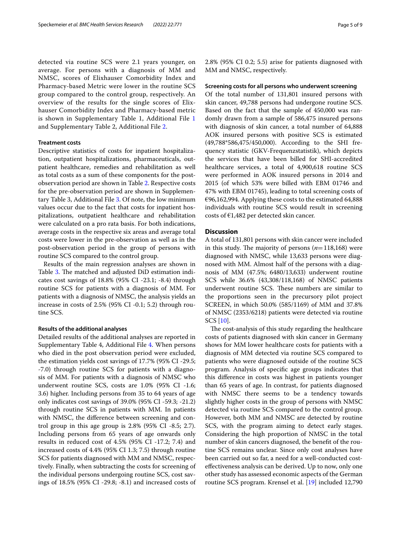detected via routine SCS were 2.1 years younger, on average. For persons with a diagnosis of MM and NMSC, scores of Elixhauser Comorbidity Index and Pharmacy-based Metric were lower in the routine SCS group compared to the control group, respectively. An overview of the results for the single scores of Elixhauser Comorbidity Index and Pharmacy-based metric is shown in Supplementary Table 1, Additional File [1](#page-7-0) and Supplementary Table 2, Additional File [2](#page-7-1).

#### **Treatment costs**

Descriptive statistics of costs for inpatient hospitalization, outpatient hospitalizations, pharmaceuticals, outpatient healthcare, remedies and rehabilitation as well as total costs as a sum of these components for the postobservation period are shown in Table [2.](#page-5-0) Respective costs for the pre-observation period are shown in Supplementary Table 3, Additional File [3](#page-7-2). Of note, the low minimum values occur due to the fact that costs for inpatient hospitalizations, outpatient healthcare and rehabilitation were calculated on a pro rata basis. For both indications, average costs in the respective six areas and average total costs were lower in the pre-observation as well as in the post-observation period in the group of persons with routine SCS compared to the control group.

Results of the main regression analyses are shown in Table [3.](#page-6-0) The matched and adjusted DiD estimation indicates cost savings of 18.8% (95% CI -23.1; -8.4) through routine SCS for patients with a diagnosis of MM. For patients with a diagnosis of NMSC, the analysis yields an increase in costs of 2.5% (95% CI -0.1; 5.2) through routine SCS.

#### **Results of the additional analyses**

Detailed results of the additional analyses are reported in Supplementary Table 4, Additional File [4](#page-7-3). When persons who died in the post observation period were excluded, the estimation yields cost savings of 17.7% (95% CI -29.5; -7.0) through routine SCS for patients with a diagnosis of MM. For patients with a diagnosis of NMSC who underwent routine SCS, costs are 1.0% (95% CI -1.6; 3.6) higher. Including persons from 35 to 64 years of age only indicates cost savings of 39.0% (95% CI -59.3; -21.2) through routine SCS in patients with MM. In patients with NMSC, the diference between screening and control group in this age group is 2.8% (95% CI -8.5; 2.7). Including persons from 65 years of age onwards only results in reduced cost of 4.5% (95% CI -17.2; 7.4) and increased costs of 4.4% (95% CI 1.3; 7.5) through routine SCS for patients diagnosed with MM and NMSC, respectively. Finally, when subtracting the costs for screening of the individual persons undergoing routine SCS, cost savings of 18.5% (95% CI -29.8; -8.1) and increased costs of 2.8% (95% CI 0.2; 5.5) arise for patients diagnosed with MM and NMSC, respectively.

#### **Screening costs for all persons who underwent screening**

Of the total number of 131,801 insured persons with skin cancer, 49,788 persons had undergone routine SCS. Based on the fact that the sample of 450,000 was randomly drawn from a sample of 586,475 insured persons with diagnosis of skin cancer, a total number of 64,888 AOK insured persons with positive SCS is estimated (49,788\*586,475/450,000). According to the SHI frequency statistic (GKV-Frequenzstatistik), which depicts the services that have been billed for SHI-accredited healthcare services, a total of 4,900,618 routine SCS were performed in AOK insured persons in 2014 and 2015 (of which 53% were billed with EBM 01746 and 47% with EBM 01745), leading to total screening costs of €96,162,994. Applying these costs to the estimated 64,888 individuals with routine SCS would result in screening costs of  $E1,482$  per detected skin cancer.

## **Discussion**

A total of 131,801 persons with skin cancer were included in this study. The majority of persons  $(n=118,168)$  were diagnosed with NMSC, while 13,633 persons were diagnosed with MM. Almost half of the persons with a diagnosis of MM (47.5%; 6480/13,633) underwent routine SCS while 36.6% (43,308/118,168) of NMSC patients underwent routine SCS. These numbers are similar to the proportions seen in the precursory pilot project SCREEN, in which 50.0% (585/1169) of MM and 37.8% of NMSC (2353/6218) patients were detected via routine SCS [\[10\]](#page-8-9).

The cost-analysis of this study regarding the healthcare costs of patients diagnosed with skin cancer in Germany shows for MM lower healthcare costs for patients with a diagnosis of MM detected via routine SCS compared to patients who were diagnosed outside of the routine SCS program. Analysis of specifc age groups indicates that this diference in costs was highest in patients younger than 65 years of age. In contrast, for patients diagnosed with NMSC there seems to be a tendency towards slightly higher costs in the group of persons with NMSC detected via routine SCS compared to the control group. However, both MM and NMSC are detected by routine SCS, with the program aiming to detect early stages. Considering the high proportion of NMSC in the total number of skin cancers diagnosed, the beneft of the routine SCS remains unclear. Since only cost analyses have been carried out so far, a need for a well-conducted costefectiveness analysis can be derived. Up to now, only one other study has assessed economic aspects of the German routine SCS program. Krensel et al. [[19](#page-8-17)] included 12,790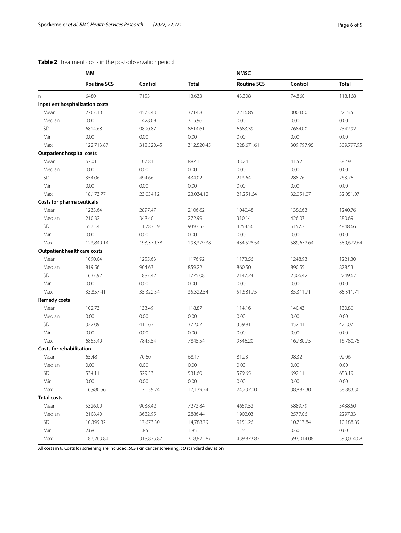## <span id="page-5-0"></span>**Table 2** Treatment costs in the post-observation period

|                                    | MM                                     |            |              | <b>NMSC</b>        |            |              |
|------------------------------------|----------------------------------------|------------|--------------|--------------------|------------|--------------|
|                                    | <b>Routine SCS</b>                     | Control    | <b>Total</b> | <b>Routine SCS</b> | Control    | <b>Total</b> |
| n.                                 | 6480                                   | 7153       | 13,633       | 43,308             | 74,860     | 118,168      |
|                                    | <b>Inpatient hospitalization costs</b> |            |              |                    |            |              |
| Mean                               | 2767.10                                | 4573.43    | 3714.85      | 2216.85            | 3004.00    | 2715.51      |
| Median                             | 0.00                                   | 1428.09    | 315.96       | 0.00               | 0.00       | 0.00         |
| <b>SD</b>                          | 6814.68                                | 9890.87    | 8614.61      | 6683.39            | 7684.00    | 7342.92      |
| Min                                | 0.00                                   | 0.00       | 0.00         | 0.00               | 0.00       | 0.00         |
| Max                                | 122,713.87                             | 312,520.45 | 312,520.45   | 228,671.61         | 309,797.95 | 309,797.95   |
| <b>Outpatient hospital costs</b>   |                                        |            |              |                    |            |              |
| Mean                               | 67.01                                  | 107.81     | 88.41        | 33.24              | 41.52      | 38.49        |
| Median                             | 0.00                                   | 0.00       | 0.00         | 0.00               | 0.00       | 0.00         |
| <b>SD</b>                          | 354.06                                 | 494.66     | 434.02       | 213.64             | 288.76     | 263.76       |
| Min                                | 0.00                                   | 0.00       | 0.00         | 0.00               | 0.00       | 0.00         |
| Max                                | 18,173.77                              | 23,034.12  | 23,034.12    | 21,251.64          | 32,051.07  | 32,051.07    |
| <b>Costs for pharmaceuticals</b>   |                                        |            |              |                    |            |              |
| Mean                               | 1233.64                                | 2897.47    | 2106.62      | 1040.48            | 1356.63    | 1240.76      |
| Median                             | 210.32                                 | 348.40     | 272.99       | 310.14             | 426.03     | 380.69       |
| SD                                 | 5575.41                                | 11,783.59  | 9397.53      | 4254.56            | 5157.71    | 4848.66      |
| Min                                | 0.00                                   | 0.00       | 0.00         | 0.00               | 0.00       | 0.00         |
| Max                                | 123,840.14                             | 193,379.38 | 193,379.38   | 434,528.54         | 589,672.64 | 589,672.64   |
| <b>Outpatient healthcare costs</b> |                                        |            |              |                    |            |              |
| Mean                               | 1090.04                                | 1255.63    | 1176.92      | 1173.56            | 1248.93    | 1221.30      |
| Median                             | 819.56                                 | 904.63     | 859.22       | 860.50             | 890.55     | 878.53       |
| SD                                 | 1637.92                                | 1887.42    | 1775.08      | 2147.24            | 2306.42    | 2249.67      |
| Min                                | 0.00                                   | 0.00       | 0.00         | 0.00               | 0.00       | 0.00         |
| Max                                | 33,857.41                              | 35,322.54  | 35,322.54    | 51,681.75          | 85,311.71  | 85,311.71    |
| <b>Remedy costs</b>                |                                        |            |              |                    |            |              |
| Mean                               | 102.73                                 | 133.49     | 118.87       | 114.16             | 140.43     | 130.80       |
| Median                             | 0.00                                   | 0.00       | 0.00         | 0.00               | 0.00       | 0.00         |
| SD                                 | 322.09                                 | 411.63     | 372.07       | 359.91             | 452.41     | 421.07       |
| Min                                | 0.00                                   | 0.00       | 0.00         | 0.00               | 0.00       | 0.00         |
| Max                                | 6855.40                                | 7845.54    | 7845.54      | 9346.20            | 16,780.75  | 16,780.75    |
| <b>Costs for rehabilitation</b>    |                                        |            |              |                    |            |              |
| Mean                               | 65.48                                  | 70.60      | 68.17        | 81.23              | 98.32      | 92.06        |
| Median                             | 0.00                                   | 0.00       | 0.00         | 0.00               | 0.00       | 0.00         |
| SD                                 | 534.11                                 | 529.33     | 531.60       | 579.65             | 692.11     | 653.19       |
| Min                                | 0.00                                   | 0.00       | 0.00         | 0.00               | 0.00       | 0.00         |
| Max                                | 16,980.56                              | 17,139.24  | 17,139.24    | 24,232.00          | 38,883.30  | 38,883.30    |
| <b>Total costs</b>                 |                                        |            |              |                    |            |              |
| Mean                               | 5326.00                                | 9038.42    | 7273.84      | 4659.52            | 5889.79    | 5438.50      |
| Median                             | 2108.40                                | 3682.95    | 2886.44      | 1902.03            | 2577.06    | 2297.33      |
| SD                                 | 10,399.32                              | 17,673.30  | 14,788.79    | 9151.26            | 10,717.84  | 10,188.89    |
| Min                                | 2.68                                   | 1.85       | 1.85         | 1.24               | 0.60       | 0.60         |
| Max                                | 187,263.84                             | 318,825.87 | 318,825.87   | 439,873.87         | 593,014.08 | 593,014.08   |

All costs in €. Costs for screening are included. *SCS* skin cancer screening, *SD* standard deviation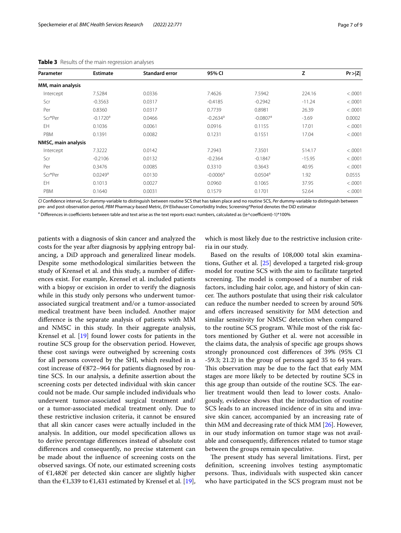| Parameter           | <b>Estimate</b>        | <b>Standard error</b> | 95% CI                 |                        | Z        | Pr >  Z |
|---------------------|------------------------|-----------------------|------------------------|------------------------|----------|---------|
| MM, main analysis   |                        |                       |                        |                        |          |         |
| Intercept           | 7.5284                 | 0.0336                | 7.4626                 | 7.5942                 | 224.16   | < .0001 |
| Scr                 | $-0.3563$              | 0.0317                | $-0.4185$              | $-0.2942$              | $-11.24$ | < .0001 |
| Per                 | 0.8360                 | 0.0317                | 0.7739                 | 0.8981                 | 26.39    | < .0001 |
| Scr*Per             | $-0.1720$ <sup>a</sup> | 0.0466                | $-0.2634$ <sup>a</sup> | $-0.0807$ <sup>a</sup> | $-3.69$  | 0.0002  |
| EH                  | 0.1036                 | 0.0061                | 0.0916                 | 0.1155                 | 17.01    | < .0001 |
| PBM                 | 0.1391                 | 0.0082                | 0.1231                 | 0.1551                 | 17.04    | < .0001 |
| NMSC, main analysis |                        |                       |                        |                        |          |         |
| Intercept           | 7.3222                 | 0.0142                | 7.2943                 | 7.3501                 | 514.17   | < .0001 |
| Scr                 | $-0.2106$              | 0.0132                | $-0.2364$              | $-0.1847$              | $-15.95$ | < .0001 |
| Per                 | 0.3476                 | 0.0085                | 0.3310                 | 0.3643                 | 40.95    | < .0001 |
| Scr*Per             | 0.0249a                | 0.0130                | $-0.0006^a$            | 0.0504 <sup>a</sup>    | 1.92     | 0.0555  |
| EH                  | 0.1013                 | 0.0027                | 0.0960                 | 0.1065                 | 37.95    | < .0001 |
| PBM                 | 0.1640                 | 0.0031                | 0.1579                 | 0.1701                 | 52.64    | < .0001 |

<span id="page-6-0"></span>

| Table 3 Results of the main regression analyses |  |  |  |  |  |  |
|-------------------------------------------------|--|--|--|--|--|--|
|-------------------------------------------------|--|--|--|--|--|--|

*CI* Confdence interval, *Scr* dummy-variable to distinguish between routine SCS that has taken place and no routine SCS, *Per* dummy-variable to distinguish between pre- and post-observation period, *PBM* Pharmacy-based Metric, *EH* Elixhauser Comorbidity Index; Screening\*Period denotes the DiD estimator

<sup>a</sup> Differences in coefficients between table and text arise as the text reports exact numbers, calculated as ((e^coefficient)-1)\*100%

patients with a diagnosis of skin cancer and analyzed the costs for the year after diagnosis by applying entropy balancing, a DiD approach and generalized linear models. Despite some methodological similarities between the study of Krensel et al. and this study, a number of diferences exist. For example, Krensel et al. included patients with a biopsy or excision in order to verify the diagnosis while in this study only persons who underwent tumorassociated surgical treatment and/or a tumor-associated medical treatment have been included. Another major diference is the separate analysis of patients with MM and NMSC in this study. In their aggregate analysis, Krensel et al. [[19\]](#page-8-17) found lower costs for patients in the routine SCS group for the observation period. However, these cost savings were outweighed by screening costs for all persons covered by the SHI, which resulted in a cost increase of  $E872-964$  for patients diagnosed by routine SCS. In our analysis, a defnite assertion about the screening costs per detected individual with skin cancer could not be made. Our sample included individuals who underwent tumor-associated surgical treatment and/ or a tumor-associated medical treatment only. Due to these restrictive inclusion criteria, it cannot be ensured that all skin cancer cases were actually included in the analysis. In addition, our model specifcation allows us to derive percentage diferences instead of absolute cost diferences and consequently, no precise statement can be made about the infuence of screening costs on the observed savings. Of note, our estimated screening costs of €1,482€ per detected skin cancer are slightly higher than the  $\epsilon$ 1,339 to  $\epsilon$ 1,431 estimated by Krensel et al. [\[19](#page-8-17)],

which is most likely due to the restrictive inclusion criteria in our study.

Based on the results of 108,000 total skin examinations, Guther et al. [[25\]](#page-8-23) developed a targeted risk-group model for routine SCS with the aim to facilitate targeted screening. The model is composed of a number of risk factors, including hair color, age, and history of skin cancer. The authors postulate that using their risk calculator can reduce the number needed to screen by around 50% and offers increased sensitivity for MM detection and similar sensitivity for NMSC detection when compared to the routine SCS program. While most of the risk factors mentioned by Guther et al. were not accessible in the claims data, the analysis of specifc age groups shows strongly pronounced cost diferences of 39% (95% CI -59.3; 21.2) in the group of persons aged 35 to 64 years. This observation may be due to the fact that early MM stages are more likely to be detected by routine SCS in this age group than outside of the routine SCS. The earlier treatment would then lead to lower costs. Analogously, evidence shows that the introduction of routine SCS leads to an increased incidence of in situ and invasive skin cancer, accompanied by an increasing rate of thin MM and decreasing rate of thick MM [[26](#page-8-24)]. However, in our study information on tumor stage was not available and consequently, diferences related to tumor stage between the groups remain speculative.

The present study has several limitations. First, per defnition, screening involves testing asymptomatic persons. Thus, individuals with suspected skin cancer who have participated in the SCS program must not be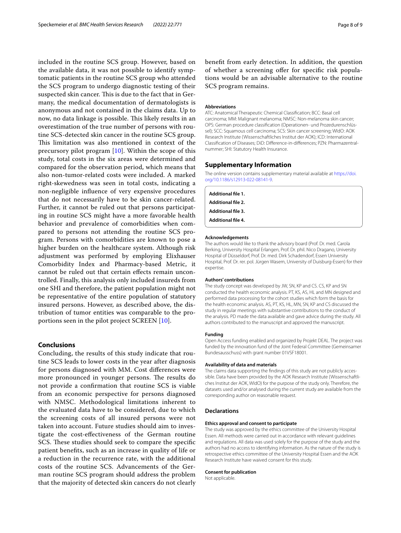included in the routine SCS group. However, based on the available data, it was not possible to identify symptomatic patients in the routine SCS group who attended the SCS program to undergo diagnostic testing of their suspected skin cancer. This is due to the fact that in Germany, the medical documentation of dermatologists is anonymous and not contained in the claims data. Up to now, no data linkage is possible. This likely results in an overestimation of the true number of persons with routine SCS-detected skin cancer in the routine SCS group. This limitation was also mentioned in context of the precursory pilot program [[10](#page-8-9)]. Within the scope of this study, total costs in the six areas were determined and compared for the observation period, which means that also non-tumor-related costs were included. A marked right-skewedness was seen in total costs, indicating a non-negligible infuence of very expensive procedures that do not necessarily have to be skin cancer-related. Further, it cannot be ruled out that persons participating in routine SCS might have a more favorable health behavior and prevalence of comorbidities when compared to persons not attending the routine SCS program. Persons with comorbidities are known to pose a higher burden on the healthcare system. Although risk adjustment was performed by employing Elixhauser Comorbidity Index and Pharmacy-based Metric, it cannot be ruled out that certain efects remain uncontrolled. Finally, this analysis only included insureds from one SHI and therefore, the patient population might not be representative of the entire population of statutory insured persons. However, as described above, the distribution of tumor entities was comparable to the proportions seen in the pilot project SCREEN [\[10](#page-8-9)].

## **Conclusions**

Concluding, the results of this study indicate that routine SCS leads to lower costs in the year after diagnosis for persons diagnosed with MM. Cost diferences were more pronounced in younger persons. The results do not provide a confrmation that routine SCS is viable from an economic perspective for persons diagnosed with NMSC. Methodological limitations inherent to the evaluated data have to be considered, due to which the screening costs of all insured persons were not taken into account. Future studies should aim to investigate the cost-efectiveness of the German routine SCS. These studies should seek to compare the specific patient benefts, such as an increase in quality of life or a reduction in the recurrence rate, with the additional costs of the routine SCS. Advancements of the German routine SCS program should address the problem that the majority of detected skin cancers do not clearly

beneft from early detection. In addition, the question of whether a screening offer for specific risk populations would be an advisable alternative to the routine SCS program remains.

#### **Abbreviations**

ATC: Anatomical Therapeutic Chemical Classifcation; BCC: Basal cell carcinoma; MM: Malignant melanoma; NMSC: Non-melanoma skin cancer; OPS: German procedure classifcation (Operationen- und Prozedurenschlüssel); SCC: Squamous cell carcinoma; SCS: Skin cancer screening; WIdO: AOK Research Institute (Wissenschaftliches Institut der AOK); ICD: International Classifcation of Diseases; DiD: Diference-in-diferences; PZN: Pharmazentralnummer; SHI: Statutory Health Insurance.

#### **Supplementary Information**

The online version contains supplementary material available at [https://doi.](https://doi.org/10.1186/s12913-022-08141-9) [org/10.1186/s12913-022-08141-9](https://doi.org/10.1186/s12913-022-08141-9).

<span id="page-7-3"></span><span id="page-7-2"></span><span id="page-7-1"></span><span id="page-7-0"></span>

| Additional file 1.        |  |  |
|---------------------------|--|--|
| <b>Additional file 2.</b> |  |  |
| <b>Additional file 3.</b> |  |  |
| <b>Additional file 4.</b> |  |  |

#### **Acknowledgements**

The authors would like to thank the advisory board (Prof. Dr. med. Carola Berking, University Hospital Erlangen, Prof. Dr. phil. Nico Dragano, University Hospital of Düsseldorf, Prof. Dr. med. Dirk Schadendorf, Essen University Hospital, Prof. Dr. rer. pol. Jürgen Wasem, University of Duisburg-Essen) for their expertise.

#### **Authors' contributions**

The study concept was developed by JW, SN, KP and CS. CS, KP and SN conducted the health economic analysis. PT, KS, AS, HL and MN designed and performed data processing for the cohort studies which form the basis for the health economic analysis. AS, PT, KS, HL, MN, SN, KP and CS discussed the study in regular meetings with substantive contributions to the conduct of the analysis. PD made the data available and gave advice during the study. All authors contributed to the manuscript and approved the manuscript.

#### **Funding**

Open Access funding enabled and organized by Projekt DEAL. The project was funded by the innovation fund of the Joint Federal Committee (Gemeinsamer Bundesausschuss) with grant number 01VSF18001.

#### **Availability of data and materials**

The claims data supporting the fndings of this study are not publicly accessible. Data have been provided by the AOK Research Institute (Wissenschaftliches Institut der AOK, WIdO) for the purpose of the study only. Therefore, the datasets used and/or analysed during the current study are available from the corresponding author on reasonable request.

#### **Declarations**

#### **Ethics approval and consent to participate**

The study was approved by the ethics committee of the University Hospital Essen. All methods were carried out in accordance with relevant guidelines and regulations. All data was used solely for the purpose of the study and the authors had no access to identifying information. As the nature of the study is retrospective ethics committee of the University Hospital Essen and the AOK Research Institute have waived consent for this study.

#### **Consent for publication**

Not applicable.